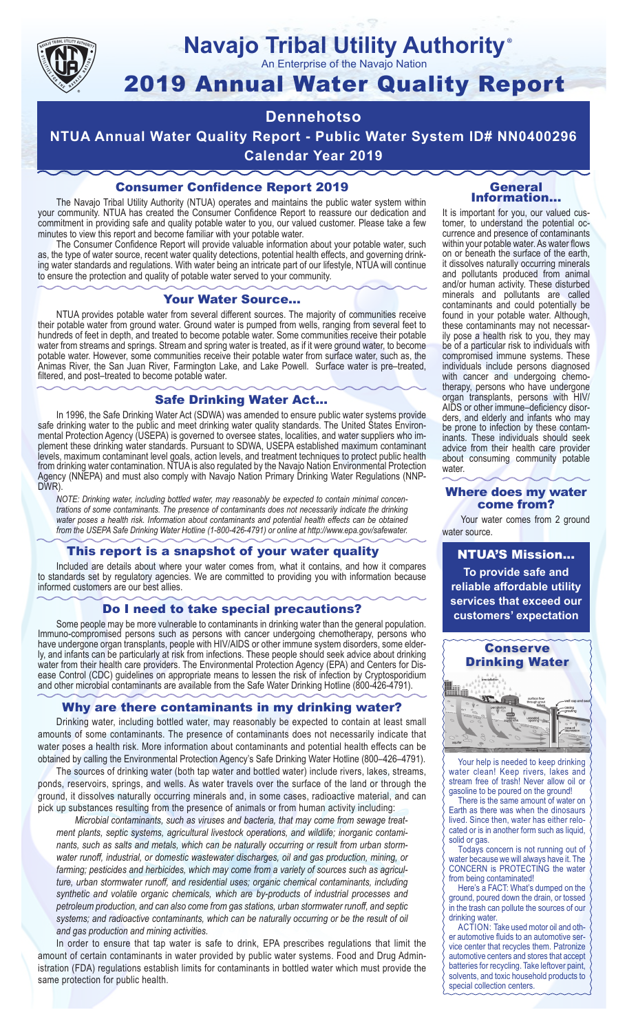

## **Navajo Tribal Utility Authority** ®

An Enterprise of the Navajo Nation

# 2019 Annual Water Quality Report

# **Dennehotso**

**NTUA Annual Water Quality Report - Public Water System ID# NN0400296 Calendar Year 2019**

## Consumer Confidence Report 2019

The Navajo Tribal Utility Authority (NTUA) operates and maintains the public water system within your community. NTUA has created the Consumer Confidence Report to reassure our dedication and commitment in providing safe and quality potable water to you, our valued customer. Please take a few minutes to view this report and become familiar with your potable water.

The Consumer Confidence Report will provide valuable information about your potable water, such as, the type of water source, recent water quality detections, potential health effects, and governing drinking water standards and regulations. With water being an intricate part of our lifestyle, NTUA will continue to ensure the protection and quality of potable water served to your community.

#### Your Water Source…

NTUA provides potable water from several different sources. The majority of communities receive their potable water from ground water. Ground water is pumped from wells, ranging from several feet to hundreds of feet in depth, and treated to become potable water. Some communities receive their potable water from streams and springs. Stream and spring water is treated, as if it were ground water, to become potable water. However, some communities receive their potable water from surface water, such as, the Animas River, the San Juan River, Farmington Lake, and Lake Powell. Surface water is pre–treated, filtered, and post–treated to become potable water.

#### Safe Drinking Water Act…

In 1996, the Safe Drinking Water Act (SDWA) was amended to ensure public water systems provide safe drinking water to the public and meet drinking water quality standards. The United States Environmental Protection Agency (USEPA) is governed to oversee states, localities, and water suppliers who implement these drinking water standards. Pursuant to SDWA, USEPA established maximum contaminant levels, maximum contaminant level goals, action levels, and treatment techniques to protect public health from drinking water contamination. NTUA is also regulated by the Navajo Nation Environmental Protection Agency (NNEPA) and must also comply with Navajo Nation Primary Drinking Water Regulations (NNP-DWR)

*NOTE: Drinking water, including bottled water, may reasonably be expected to contain minimal concentrations of some contaminants. The presence of contaminants does not necessarily indicate the drinking water poses a health risk. Information about contaminants and potential health effects can be obtained from the USEPA Safe Drinking Water Hotline (1-800-426-4791) or online at http://www.epa.gov/safewater.*

#### This report is a snapshot of your water quality

Included are details about where your water comes from, what it contains, and how it compares to standards set by regulatory agencies. We are committed to providing you with information because informed customers are our best allies.

#### Do I need to take special precautions?

Some people may be more vulnerable to contaminants in drinking water than the general population. Immuno-compromised persons such as persons with cancer undergoing chemotherapy, persons who have undergone organ transplants, people with HIV/AIDS or other immune system disorders, some elderly, and infants can be particularly at risk from infections. These people should seek advice about drinking water from their health care providers. The Environmental Protection Agency (EPA) and Centers for Disease Control (CDC) guidelines on appropriate means to lessen the risk of infection by Cryptosporidium and other microbial contaminants are available from the Safe Water Drinking Hotline (800-426-4791).

#### Why are there contaminants in my drinking water?

Drinking water, including bottled water, may reasonably be expected to contain at least small amounts of some contaminants. The presence of contaminants does not necessarily indicate that water poses a health risk. More information about contaminants and potential health effects can be obtained by calling the Environmental Protection Agency's Safe Drinking Water Hotline (800–426–4791).

The sources of drinking water (both tap water and bottled water) include rivers, lakes, streams, ponds, reservoirs, springs, and wells. As water travels over the surface of the land or through the ground, it dissolves naturally occurring minerals and, in some cases, radioactive material, and can pick up substances resulting from the presence of animals or from human activity including:

*Microbial contaminants, such as viruses and bacteria, that may come from sewage treatment plants, septic systems, agricultural livestock operations, and wildlife; inorganic contaminants, such as salts and metals, which can be naturally occurring or result from urban stormwater runoff, industrial, or domestic wastewater discharges, oil and gas production, mining, or farming; pesticides and herbicides, which may come from a variety of sources such as agriculture, urban stormwater runoff, and residential uses; organic chemical contaminants, including synthetic and volatile organic chemicals, which are by-products of industrial processes and petroleum production, and can also come from gas stations, urban stormwater runoff, and septic systems; and radioactive contaminants, which can be naturally occurring or be the result of oil and gas production and mining activities.*

In order to ensure that tap water is safe to drink, EPA prescribes regulations that limit the amount of certain contaminants in water provided by public water systems. Food and Drug Administration (FDA) regulations establish limits for contaminants in bottled water which must provide the same protection for public health.

#### General Information…

It is important for you, our valued customer, to understand the potential occurrence and presence of contaminants within your potable water. As water flows on or beneath the surface of the earth, it dissolves naturally occurring minerals and pollutants produced from animal and/or human activity. These disturbed minerals and pollutants are called contaminants and could potentially be found in your potable water. Although, these contaminants may not necessarily pose a health risk to you, they may be of a particular risk to individuals with compromised immune systems. These individuals include persons diagnosed with cancer and undergoing chemo-<br>therapy, persons who have undergone organ transplants, persons with HIV/ AIDS or other immune–deficiency disor- ders, and elderly and infants who may be prone to infection by these contam- inants. These individuals should seek advice from their health care provider about consuming community potable water.

#### Where does my water come from?

Your water comes from 2 ground water source.

NTUA'S Mission... **To provide safe and reliable affordable utility services that exceed our customers' expectation**



Your help is needed to keep drinking water clean! Keep rivers, lakes and stream free of trash! Never allow oil or gasoline to be poured on the ground!

There is the same amount of water on Earth as there was when the dinosaurs lived. Since then, water has either relocated or is in another form such as liquid, solid or gas.

Todays concern is not running out of water because we will always have it. The CONCERN is PROTECTING the water from being contaminated!

Here's a FACT: What's dumped on the ground, poured down the drain, or tossed in the trash can pollute the sources of our drinking water.

ACTION: Take used motor oil and other automotive fluids to an automotive service center that recycles them. Patronize automotive centers and stores that accept batteries for recycling. Take leftover paint, solvents, and toxic household products to special collection centers.